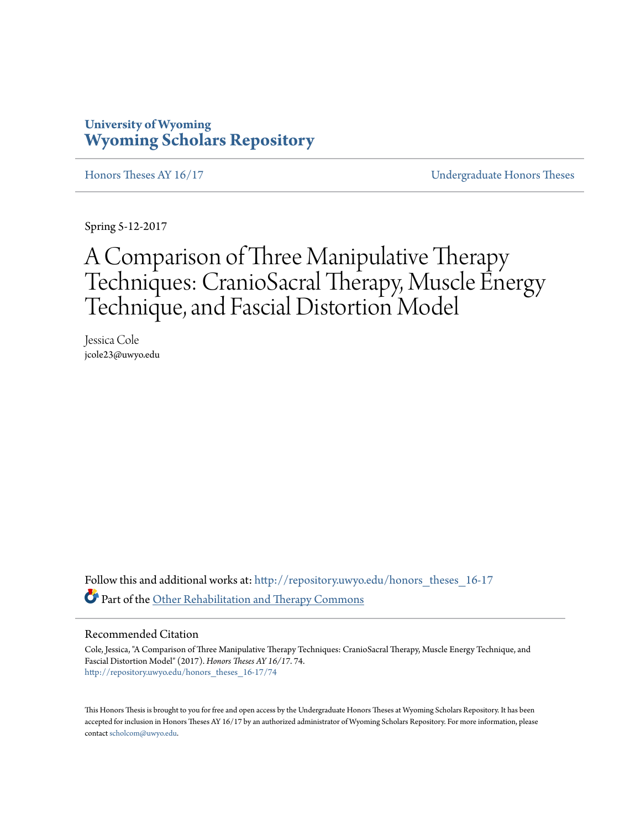## **University of Wyoming [Wyoming Scholars Repository](http://repository.uwyo.edu?utm_source=repository.uwyo.edu%2Fhonors_theses_16-17%2F74&utm_medium=PDF&utm_campaign=PDFCoverPages)**

[Honors Theses AY 16/17](http://repository.uwyo.edu/honors_theses_16-17?utm_source=repository.uwyo.edu%2Fhonors_theses_16-17%2F74&utm_medium=PDF&utm_campaign=PDFCoverPages) [Undergraduate Honors Theses](http://repository.uwyo.edu/honors_theses?utm_source=repository.uwyo.edu%2Fhonors_theses_16-17%2F74&utm_medium=PDF&utm_campaign=PDFCoverPages)

Spring 5-12-2017

# A Comparison of Three Manipulative Therapy Techniques: CranioSacral Therapy, Muscle Energy Technique, and Fascial Distortion Model

Jessica Cole jcole23@uwyo.edu

Follow this and additional works at: [http://repository.uwyo.edu/honors\\_theses\\_16-17](http://repository.uwyo.edu/honors_theses_16-17?utm_source=repository.uwyo.edu%2Fhonors_theses_16-17%2F74&utm_medium=PDF&utm_campaign=PDFCoverPages) Part of the [Other Rehabilitation and Therapy Commons](http://network.bepress.com/hgg/discipline/758?utm_source=repository.uwyo.edu%2Fhonors_theses_16-17%2F74&utm_medium=PDF&utm_campaign=PDFCoverPages)

#### Recommended Citation

Cole, Jessica, "A Comparison of Three Manipulative Therapy Techniques: CranioSacral Therapy, Muscle Energy Technique, and Fascial Distortion Model" (2017). *Honors Theses AY 16/17*. 74. [http://repository.uwyo.edu/honors\\_theses\\_16-17/74](http://repository.uwyo.edu/honors_theses_16-17/74?utm_source=repository.uwyo.edu%2Fhonors_theses_16-17%2F74&utm_medium=PDF&utm_campaign=PDFCoverPages)

This Honors Thesis is brought to you for free and open access by the Undergraduate Honors Theses at Wyoming Scholars Repository. It has been accepted for inclusion in Honors Theses AY 16/17 by an authorized administrator of Wyoming Scholars Repository. For more information, please contact [scholcom@uwyo.edu.](mailto:scholcom@uwyo.edu)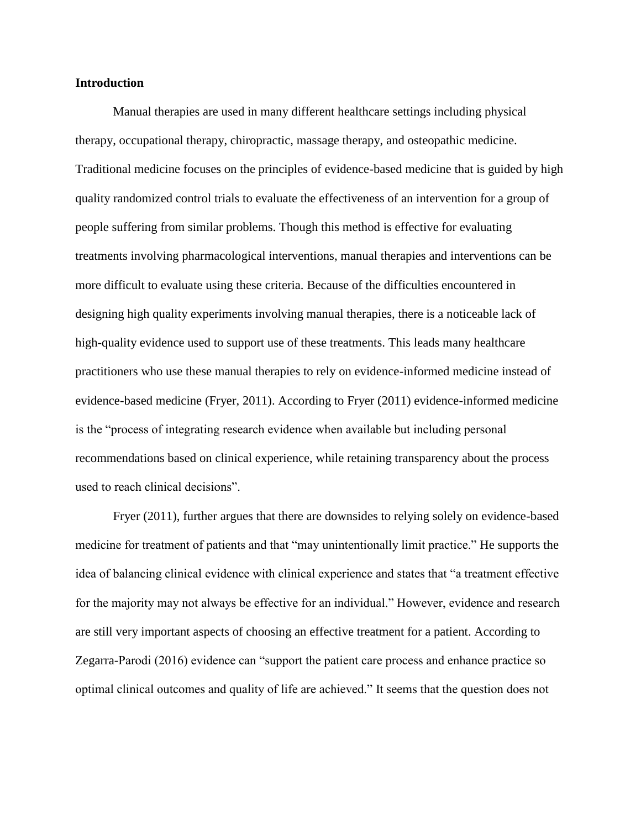#### **Introduction**

Manual therapies are used in many different healthcare settings including physical therapy, occupational therapy, chiropractic, massage therapy, and osteopathic medicine. Traditional medicine focuses on the principles of evidence-based medicine that is guided by high quality randomized control trials to evaluate the effectiveness of an intervention for a group of people suffering from similar problems. Though this method is effective for evaluating treatments involving pharmacological interventions, manual therapies and interventions can be more difficult to evaluate using these criteria. Because of the difficulties encountered in designing high quality experiments involving manual therapies, there is a noticeable lack of high-quality evidence used to support use of these treatments. This leads many healthcare practitioners who use these manual therapies to rely on evidence-informed medicine instead of evidence-based medicine (Fryer, 2011). According to Fryer (2011) evidence-informed medicine is the "process of integrating research evidence when available but including personal recommendations based on clinical experience, while retaining transparency about the process used to reach clinical decisions".

Fryer (2011), further argues that there are downsides to relying solely on evidence-based medicine for treatment of patients and that "may unintentionally limit practice." He supports the idea of balancing clinical evidence with clinical experience and states that "a treatment effective for the majority may not always be effective for an individual." However, evidence and research are still very important aspects of choosing an effective treatment for a patient. According to Zegarra-Parodi (2016) evidence can "support the patient care process and enhance practice so optimal clinical outcomes and quality of life are achieved." It seems that the question does not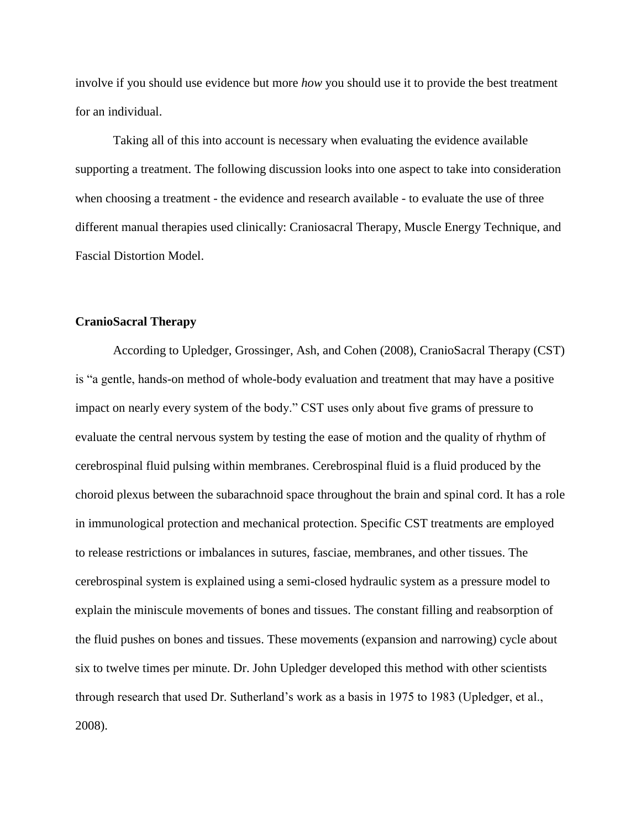involve if you should use evidence but more *how* you should use it to provide the best treatment for an individual.

Taking all of this into account is necessary when evaluating the evidence available supporting a treatment. The following discussion looks into one aspect to take into consideration when choosing a treatment - the evidence and research available - to evaluate the use of three different manual therapies used clinically: Craniosacral Therapy, Muscle Energy Technique, and Fascial Distortion Model.

#### **CranioSacral Therapy**

According to Upledger, Grossinger, Ash, and Cohen (2008), CranioSacral Therapy (CST) is "a gentle, hands-on method of whole-body evaluation and treatment that may have a positive impact on nearly every system of the body." CST uses only about five grams of pressure to evaluate the central nervous system by testing the ease of motion and the quality of rhythm of cerebrospinal fluid pulsing within membranes. Cerebrospinal fluid is a fluid produced by the choroid plexus between the subarachnoid space throughout the brain and spinal cord. It has a role in immunological protection and mechanical protection. Specific CST treatments are employed to release restrictions or imbalances in sutures, fasciae, membranes, and other tissues. The cerebrospinal system is explained using a semi-closed hydraulic system as a pressure model to explain the miniscule movements of bones and tissues. The constant filling and reabsorption of the fluid pushes on bones and tissues. These movements (expansion and narrowing) cycle about six to twelve times per minute. Dr. John Upledger developed this method with other scientists through research that used Dr. Sutherland's work as a basis in 1975 to 1983 (Upledger, et al., 2008).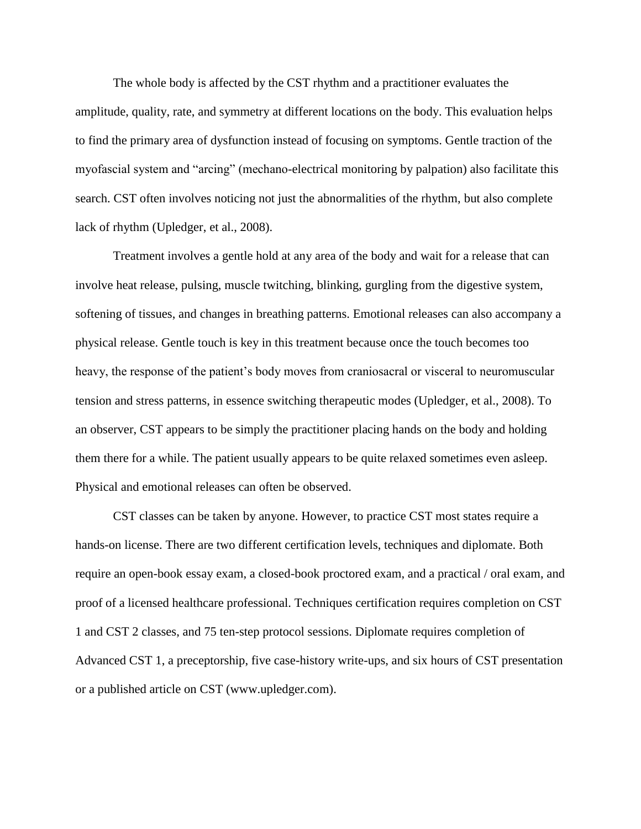The whole body is affected by the CST rhythm and a practitioner evaluates the amplitude, quality, rate, and symmetry at different locations on the body. This evaluation helps to find the primary area of dysfunction instead of focusing on symptoms. Gentle traction of the myofascial system and "arcing" (mechano-electrical monitoring by palpation) also facilitate this search. CST often involves noticing not just the abnormalities of the rhythm, but also complete lack of rhythm (Upledger, et al., 2008).

Treatment involves a gentle hold at any area of the body and wait for a release that can involve heat release, pulsing, muscle twitching, blinking, gurgling from the digestive system, softening of tissues, and changes in breathing patterns. Emotional releases can also accompany a physical release. Gentle touch is key in this treatment because once the touch becomes too heavy, the response of the patient's body moves from craniosacral or visceral to neuromuscular tension and stress patterns, in essence switching therapeutic modes (Upledger, et al., 2008). To an observer, CST appears to be simply the practitioner placing hands on the body and holding them there for a while. The patient usually appears to be quite relaxed sometimes even asleep. Physical and emotional releases can often be observed.

CST classes can be taken by anyone. However, to practice CST most states require a hands-on license. There are two different certification levels, techniques and diplomate. Both require an open-book essay exam, a closed-book proctored exam, and a practical / oral exam, and proof of a licensed healthcare professional. Techniques certification requires completion on CST 1 and CST 2 classes, and 75 ten-step protocol sessions. Diplomate requires completion of Advanced CST 1, a preceptorship, five case-history write-ups, and six hours of CST presentation or a published article on CST (www.upledger.com).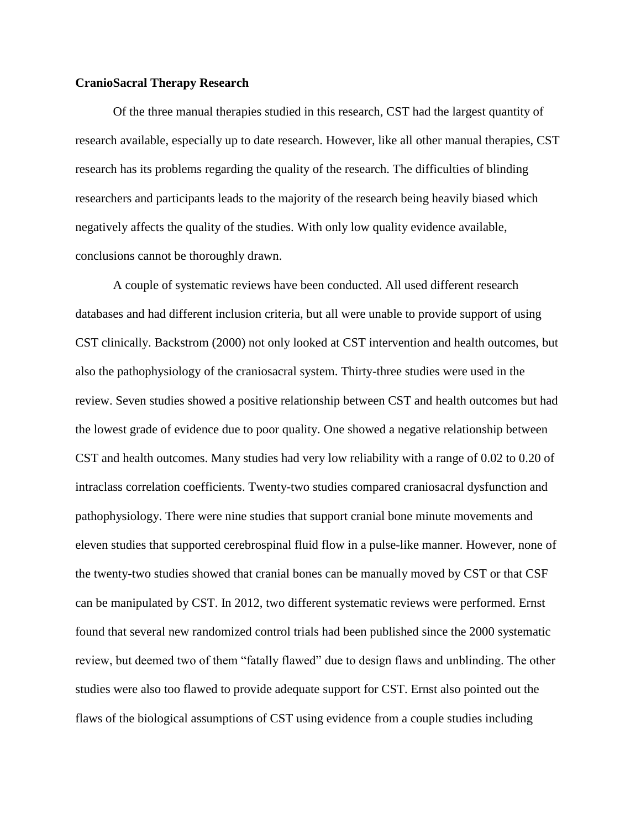#### **CranioSacral Therapy Research**

Of the three manual therapies studied in this research, CST had the largest quantity of research available, especially up to date research. However, like all other manual therapies, CST research has its problems regarding the quality of the research. The difficulties of blinding researchers and participants leads to the majority of the research being heavily biased which negatively affects the quality of the studies. With only low quality evidence available, conclusions cannot be thoroughly drawn.

A couple of systematic reviews have been conducted. All used different research databases and had different inclusion criteria, but all were unable to provide support of using CST clinically. Backstrom (2000) not only looked at CST intervention and health outcomes, but also the pathophysiology of the craniosacral system. Thirty-three studies were used in the review. Seven studies showed a positive relationship between CST and health outcomes but had the lowest grade of evidence due to poor quality. One showed a negative relationship between CST and health outcomes. Many studies had very low reliability with a range of 0.02 to 0.20 of intraclass correlation coefficients. Twenty-two studies compared craniosacral dysfunction and pathophysiology. There were nine studies that support cranial bone minute movements and eleven studies that supported cerebrospinal fluid flow in a pulse-like manner. However, none of the twenty-two studies showed that cranial bones can be manually moved by CST or that CSF can be manipulated by CST. In 2012, two different systematic reviews were performed. Ernst found that several new randomized control trials had been published since the 2000 systematic review, but deemed two of them "fatally flawed" due to design flaws and unblinding. The other studies were also too flawed to provide adequate support for CST. Ernst also pointed out the flaws of the biological assumptions of CST using evidence from a couple studies including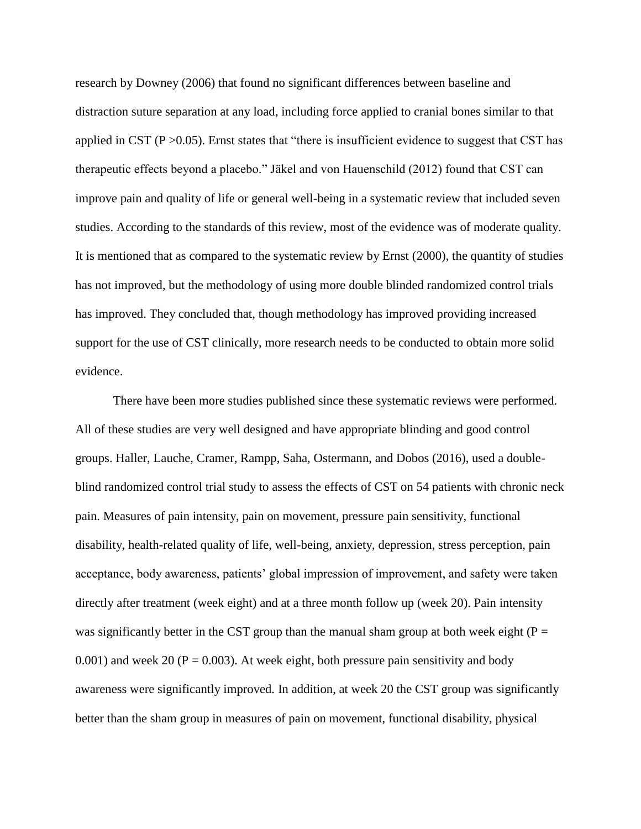research by Downey (2006) that found no significant differences between baseline and distraction suture separation at any load, including force applied to cranial bones similar to that applied in CST ( $P > 0.05$ ). Ernst states that "there is insufficient evidence to suggest that CST has therapeutic effects beyond a placebo." Jäkel and von Hauenschild (2012) found that CST can improve pain and quality of life or general well-being in a systematic review that included seven studies. According to the standards of this review, most of the evidence was of moderate quality. It is mentioned that as compared to the systematic review by Ernst (2000), the quantity of studies has not improved, but the methodology of using more double blinded randomized control trials has improved. They concluded that, though methodology has improved providing increased support for the use of CST clinically, more research needs to be conducted to obtain more solid evidence.

There have been more studies published since these systematic reviews were performed. All of these studies are very well designed and have appropriate blinding and good control groups. Haller, Lauche, Cramer, Rampp, Saha, Ostermann, and Dobos (2016), used a doubleblind randomized control trial study to assess the effects of CST on 54 patients with chronic neck pain. Measures of pain intensity, pain on movement, pressure pain sensitivity, functional disability, health-related quality of life, well-being, anxiety, depression, stress perception, pain acceptance, body awareness, patients' global impression of improvement, and safety were taken directly after treatment (week eight) and at a three month follow up (week 20). Pain intensity was significantly better in the CST group than the manual sham group at both week eight ( $P =$ 0.001) and week 20 ( $P = 0.003$ ). At week eight, both pressure pain sensitivity and body awareness were significantly improved. In addition, at week 20 the CST group was significantly better than the sham group in measures of pain on movement, functional disability, physical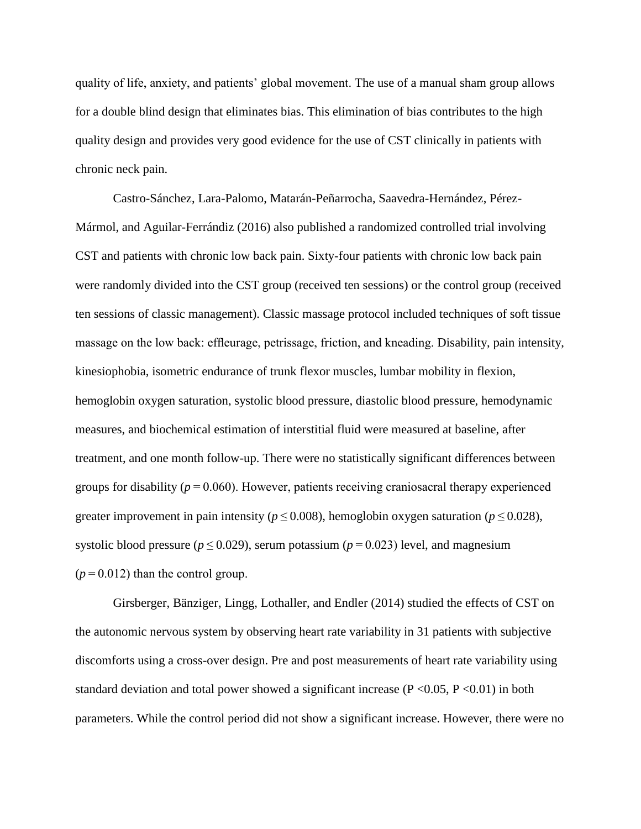quality of life, anxiety, and patients' global movement. The use of a manual sham group allows for a double blind design that eliminates bias. This elimination of bias contributes to the high quality design and provides very good evidence for the use of CST clinically in patients with chronic neck pain.

Castro-Sánchez, Lara-Palomo, Matarán-Peñarrocha, Saavedra-Hernández, Pérez-Mármol, and Aguilar-Ferrándiz (2016) also published a randomized controlled trial involving CST and patients with chronic low back pain. Sixty-four patients with chronic low back pain were randomly divided into the CST group (received ten sessions) or the control group (received ten sessions of classic management). Classic massage protocol included techniques of soft tissue massage on the low back: effleurage, petrissage, friction, and kneading. Disability, pain intensity, kinesiophobia, isometric endurance of trunk flexor muscles, lumbar mobility in flexion, hemoglobin oxygen saturation, systolic blood pressure, diastolic blood pressure, hemodynamic measures, and biochemical estimation of interstitial fluid were measured at baseline, after treatment, and one month follow-up. There were no statistically significant differences between groups for disability ( $p = 0.060$ ). However, patients receiving craniosacral therapy experienced greater improvement in pain intensity ( $p \le 0.008$ ), hemoglobin oxygen saturation ( $p \le 0.028$ ), systolic blood pressure ( $p \le 0.029$ ), serum potassium ( $p = 0.023$ ) level, and magnesium  $(p = 0.012)$  than the control group.

Girsberger, Bänziger, Lingg, Lothaller, and Endler (2014) studied the effects of CST on the autonomic nervous system by observing heart rate variability in 31 patients with subjective discomforts using a cross-over design. Pre and post measurements of heart rate variability using standard deviation and total power showed a significant increase ( $P \le 0.05$ ,  $P \le 0.01$ ) in both parameters. While the control period did not show a significant increase. However, there were no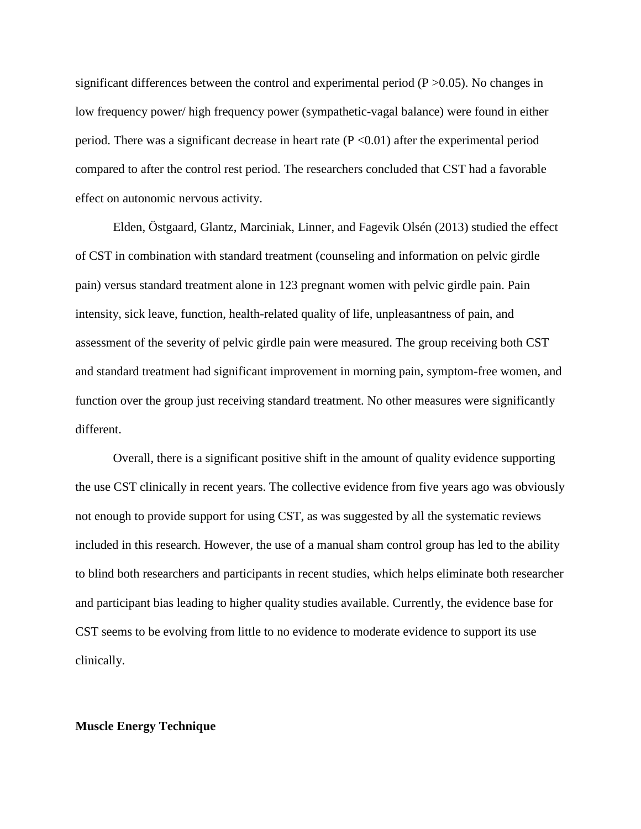significant differences between the control and experimental period  $(P > 0.05)$ . No changes in low frequency power/ high frequency power (sympathetic-vagal balance) were found in either period. There was a significant decrease in heart rate  $(P \le 0.01)$  after the experimental period compared to after the control rest period. The researchers concluded that CST had a favorable effect on autonomic nervous activity.

Elden, Östgaard, Glantz, Marciniak, Linner, and Fagevik Olsén (2013) studied the effect of CST in combination with standard treatment (counseling and information on pelvic girdle pain) versus standard treatment alone in 123 pregnant women with pelvic girdle pain. Pain intensity, sick leave, function, health-related quality of life, unpleasantness of pain, and assessment of the severity of pelvic girdle pain were measured. The group receiving both CST and standard treatment had significant improvement in morning pain, symptom-free women, and function over the group just receiving standard treatment. No other measures were significantly different.

Overall, there is a significant positive shift in the amount of quality evidence supporting the use CST clinically in recent years. The collective evidence from five years ago was obviously not enough to provide support for using CST, as was suggested by all the systematic reviews included in this research. However, the use of a manual sham control group has led to the ability to blind both researchers and participants in recent studies, which helps eliminate both researcher and participant bias leading to higher quality studies available. Currently, the evidence base for CST seems to be evolving from little to no evidence to moderate evidence to support its use clinically.

#### **Muscle Energy Technique**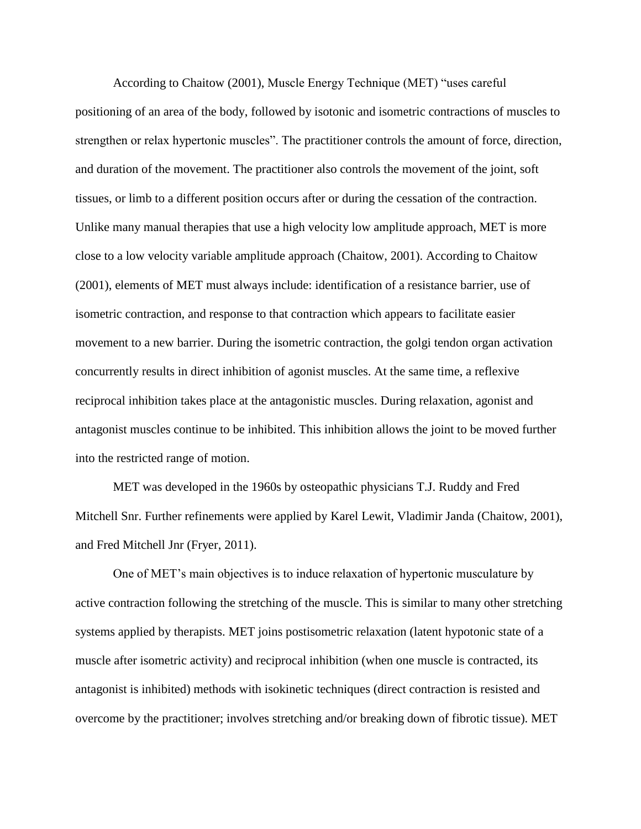According to Chaitow (2001), Muscle Energy Technique (MET) "uses careful positioning of an area of the body, followed by isotonic and isometric contractions of muscles to strengthen or relax hypertonic muscles". The practitioner controls the amount of force, direction, and duration of the movement. The practitioner also controls the movement of the joint, soft tissues, or limb to a different position occurs after or during the cessation of the contraction. Unlike many manual therapies that use a high velocity low amplitude approach, MET is more close to a low velocity variable amplitude approach (Chaitow, 2001). According to Chaitow (2001), elements of MET must always include: identification of a resistance barrier, use of isometric contraction, and response to that contraction which appears to facilitate easier movement to a new barrier. During the isometric contraction, the golgi tendon organ activation concurrently results in direct inhibition of agonist muscles. At the same time, a reflexive reciprocal inhibition takes place at the antagonistic muscles. During relaxation, agonist and antagonist muscles continue to be inhibited. This inhibition allows the joint to be moved further into the restricted range of motion.

MET was developed in the 1960s by osteopathic physicians T.J. Ruddy and Fred Mitchell Snr. Further refinements were applied by Karel Lewit, Vladimir Janda (Chaitow, 2001), and Fred Mitchell Jnr (Fryer, 2011).

One of MET's main objectives is to induce relaxation of hypertonic musculature by active contraction following the stretching of the muscle. This is similar to many other stretching systems applied by therapists. MET joins postisometric relaxation (latent hypotonic state of a muscle after isometric activity) and reciprocal inhibition (when one muscle is contracted, its antagonist is inhibited) methods with isokinetic techniques (direct contraction is resisted and overcome by the practitioner; involves stretching and/or breaking down of fibrotic tissue). MET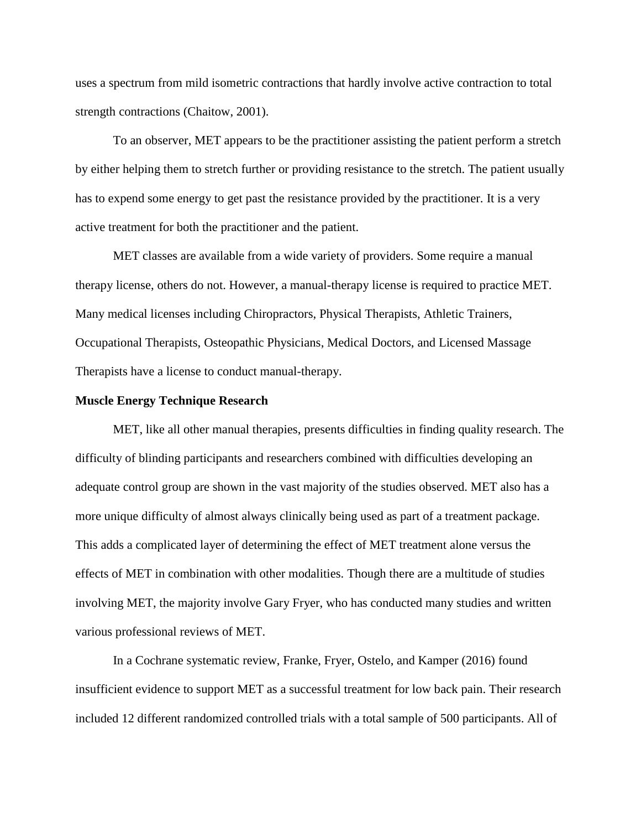uses a spectrum from mild isometric contractions that hardly involve active contraction to total strength contractions (Chaitow, 2001).

To an observer, MET appears to be the practitioner assisting the patient perform a stretch by either helping them to stretch further or providing resistance to the stretch. The patient usually has to expend some energy to get past the resistance provided by the practitioner. It is a very active treatment for both the practitioner and the patient.

MET classes are available from a wide variety of providers. Some require a manual therapy license, others do not. However, a manual-therapy license is required to practice MET. Many medical licenses including Chiropractors, Physical Therapists, Athletic Trainers, Occupational Therapists, Osteopathic Physicians, Medical Doctors, and Licensed Massage Therapists have a license to conduct manual-therapy.

#### **Muscle Energy Technique Research**

MET, like all other manual therapies, presents difficulties in finding quality research. The difficulty of blinding participants and researchers combined with difficulties developing an adequate control group are shown in the vast majority of the studies observed. MET also has a more unique difficulty of almost always clinically being used as part of a treatment package. This adds a complicated layer of determining the effect of MET treatment alone versus the effects of MET in combination with other modalities. Though there are a multitude of studies involving MET, the majority involve Gary Fryer, who has conducted many studies and written various professional reviews of MET.

In a Cochrane systematic review, Franke, Fryer, Ostelo, and Kamper (2016) found insufficient evidence to support MET as a successful treatment for low back pain. Their research included 12 different randomized controlled trials with a total sample of 500 participants. All of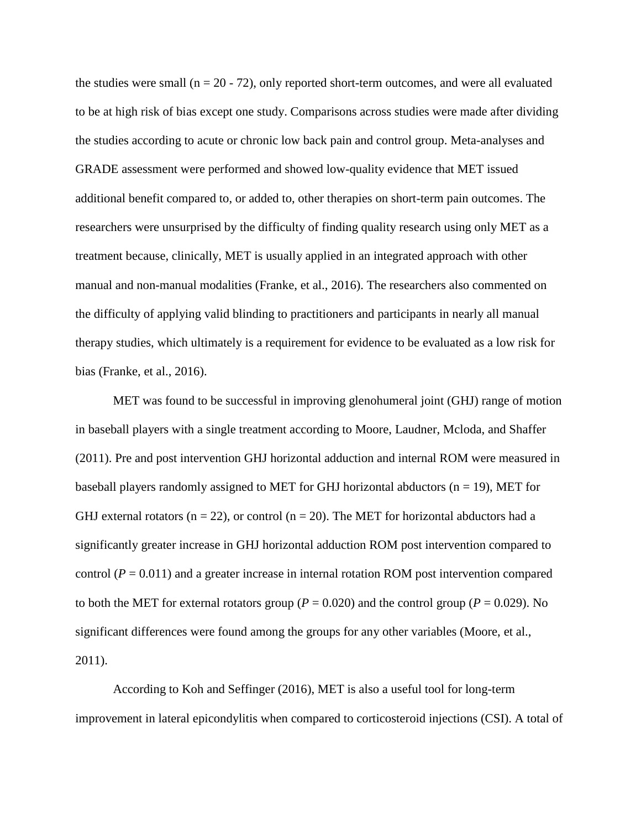the studies were small ( $n = 20 - 72$ ), only reported short-term outcomes, and were all evaluated to be at high risk of bias except one study. Comparisons across studies were made after dividing the studies according to acute or chronic low back pain and control group. Meta-analyses and GRADE assessment were performed and showed low-quality evidence that MET issued additional benefit compared to, or added to, other therapies on short-term pain outcomes. The researchers were unsurprised by the difficulty of finding quality research using only MET as a treatment because, clinically, MET is usually applied in an integrated approach with other manual and non-manual modalities (Franke, et al., 2016). The researchers also commented on the difficulty of applying valid blinding to practitioners and participants in nearly all manual therapy studies, which ultimately is a requirement for evidence to be evaluated as a low risk for bias (Franke, et al., 2016).

MET was found to be successful in improving glenohumeral joint (GHJ) range of motion in baseball players with a single treatment according to Moore, Laudner, Mcloda, and Shaffer (2011). Pre and post intervention GHJ horizontal adduction and internal ROM were measured in baseball players randomly assigned to MET for GHJ horizontal abductors  $(n = 19)$ , MET for GHJ external rotators ( $n = 22$ ), or control ( $n = 20$ ). The MET for horizontal abductors had a significantly greater increase in GHJ horizontal adduction ROM post intervention compared to control  $(P = 0.011)$  and a greater increase in internal rotation ROM post intervention compared to both the MET for external rotators group ( $P = 0.020$ ) and the control group ( $P = 0.029$ ). No significant differences were found among the groups for any other variables (Moore, et al., 2011).

According to Koh and Seffinger (2016), MET is also a useful tool for long-term improvement in lateral epicondylitis when compared to corticosteroid injections (CSI). A total of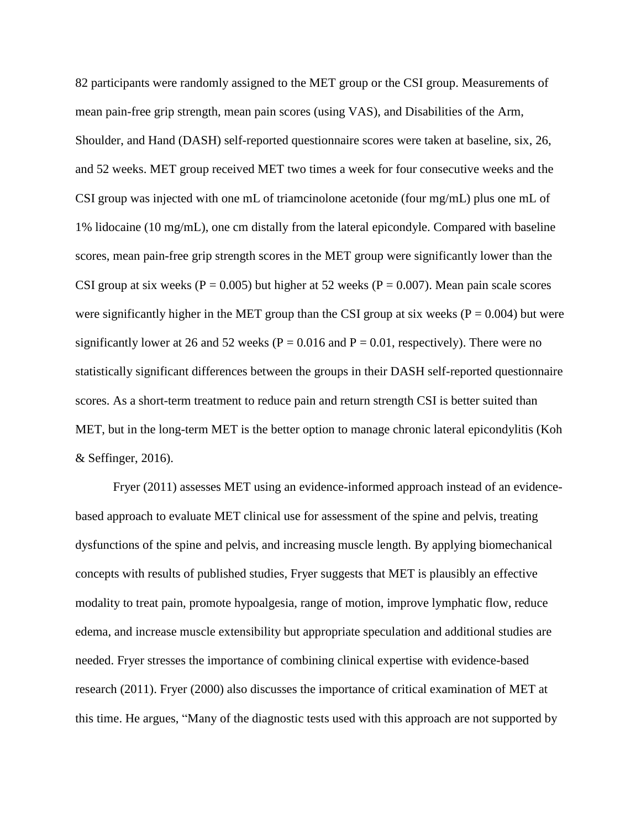82 participants were randomly assigned to the MET group or the CSI group. Measurements of mean pain-free grip strength, mean pain scores (using VAS), and Disabilities of the Arm, Shoulder, and Hand (DASH) self-reported questionnaire scores were taken at baseline, six, 26, and 52 weeks. MET group received MET two times a week for four consecutive weeks and the CSI group was injected with one mL of triamcinolone acetonide (four mg/mL) plus one mL of 1% lidocaine (10 mg/mL), one cm distally from the lateral epicondyle. Compared with baseline scores, mean pain-free grip strength scores in the MET group were significantly lower than the CSI group at six weeks ( $P = 0.005$ ) but higher at 52 weeks ( $P = 0.007$ ). Mean pain scale scores were significantly higher in the MET group than the CSI group at six weeks ( $P = 0.004$ ) but were significantly lower at 26 and 52 weeks ( $P = 0.016$  and  $P = 0.01$ , respectively). There were no statistically significant differences between the groups in their DASH self-reported questionnaire scores. As a short-term treatment to reduce pain and return strength CSI is better suited than MET, but in the long-term MET is the better option to manage chronic lateral epicondylitis (Koh & Seffinger, 2016).

Fryer (2011) assesses MET using an evidence-informed approach instead of an evidencebased approach to evaluate MET clinical use for assessment of the spine and pelvis, treating dysfunctions of the spine and pelvis, and increasing muscle length. By applying biomechanical concepts with results of published studies, Fryer suggests that MET is plausibly an effective modality to treat pain, promote hypoalgesia, range of motion, improve lymphatic flow, reduce edema, and increase muscle extensibility but appropriate speculation and additional studies are needed. Fryer stresses the importance of combining clinical expertise with evidence-based research (2011). Fryer (2000) also discusses the importance of critical examination of MET at this time. He argues, "Many of the diagnostic tests used with this approach are not supported by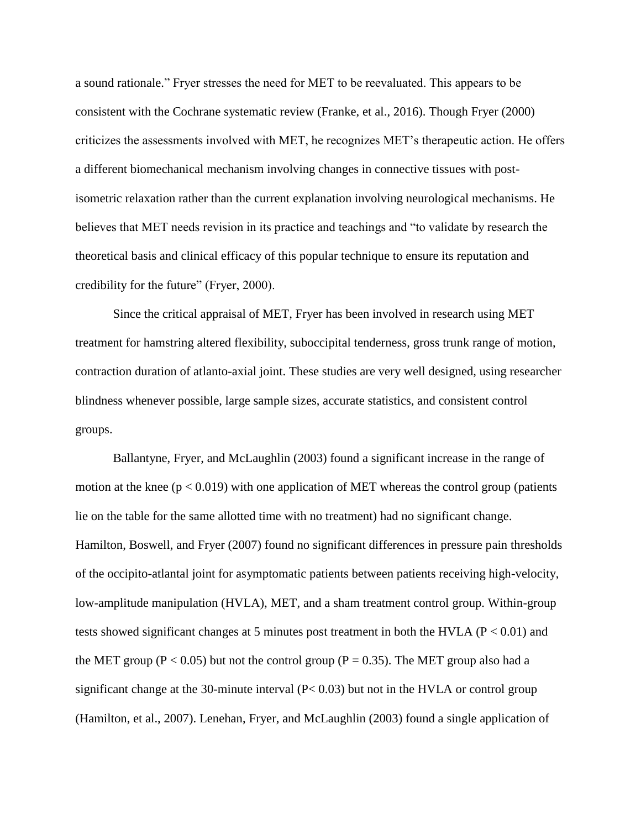a sound rationale." Fryer stresses the need for MET to be reevaluated. This appears to be consistent with the Cochrane systematic review (Franke, et al., 2016). Though Fryer (2000) criticizes the assessments involved with MET, he recognizes MET's therapeutic action. He offers a different biomechanical mechanism involving changes in connective tissues with postisometric relaxation rather than the current explanation involving neurological mechanisms. He believes that MET needs revision in its practice and teachings and "to validate by research the theoretical basis and clinical efficacy of this popular technique to ensure its reputation and credibility for the future" (Fryer, 2000).

Since the critical appraisal of MET, Fryer has been involved in research using MET treatment for hamstring altered flexibility, suboccipital tenderness, gross trunk range of motion, contraction duration of atlanto-axial joint. These studies are very well designed, using researcher blindness whenever possible, large sample sizes, accurate statistics, and consistent control groups.

Ballantyne, Fryer, and McLaughlin (2003) found a significant increase in the range of motion at the knee ( $p < 0.019$ ) with one application of MET whereas the control group (patients lie on the table for the same allotted time with no treatment) had no significant change. Hamilton, Boswell, and Fryer (2007) found no significant differences in pressure pain thresholds of the occipito-atlantal joint for asymptomatic patients between patients receiving high-velocity, low-amplitude manipulation (HVLA), MET, and a sham treatment control group. Within-group tests showed significant changes at 5 minutes post treatment in both the HVLA ( $P < 0.01$ ) and the MET group ( $P < 0.05$ ) but not the control group ( $P = 0.35$ ). The MET group also had a significant change at the 30-minute interval (P< 0.03) but not in the HVLA or control group (Hamilton, et al., 2007). Lenehan, Fryer, and McLaughlin (2003) found a single application of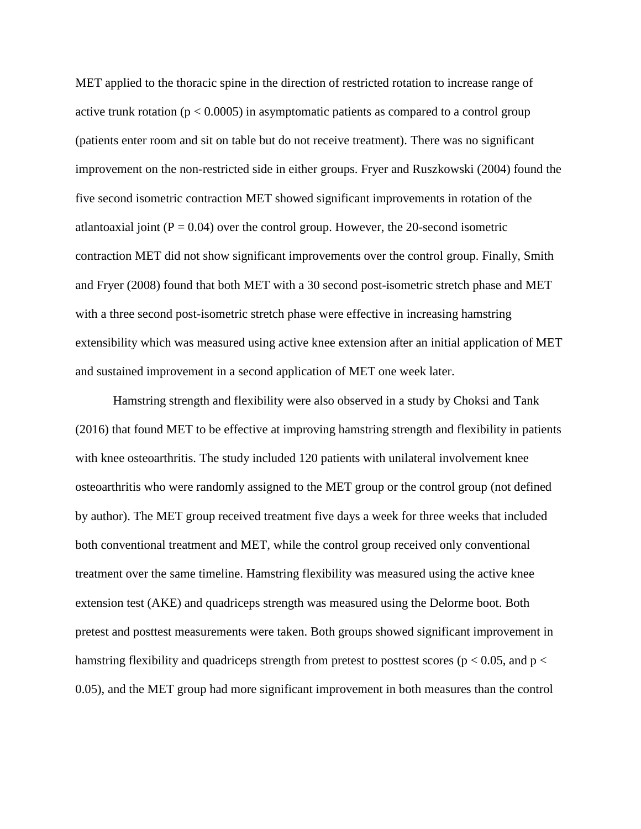MET applied to the thoracic spine in the direction of restricted rotation to increase range of active trunk rotation ( $p < 0.0005$ ) in asymptomatic patients as compared to a control group (patients enter room and sit on table but do not receive treatment). There was no significant improvement on the non-restricted side in either groups. Fryer and Ruszkowski (2004) found the five second isometric contraction MET showed significant improvements in rotation of the atlantoaxial joint  $(P = 0.04)$  over the control group. However, the 20-second isometric contraction MET did not show significant improvements over the control group. Finally, Smith and Fryer (2008) found that both MET with a 30 second post-isometric stretch phase and MET with a three second post-isometric stretch phase were effective in increasing hamstring extensibility which was measured using active knee extension after an initial application of MET and sustained improvement in a second application of MET one week later.

Hamstring strength and flexibility were also observed in a study by Choksi and Tank (2016) that found MET to be effective at improving hamstring strength and flexibility in patients with knee osteoarthritis. The study included 120 patients with unilateral involvement knee osteoarthritis who were randomly assigned to the MET group or the control group (not defined by author). The MET group received treatment five days a week for three weeks that included both conventional treatment and MET, while the control group received only conventional treatment over the same timeline. Hamstring flexibility was measured using the active knee extension test (AKE) and quadriceps strength was measured using the Delorme boot. Both pretest and posttest measurements were taken. Both groups showed significant improvement in hamstring flexibility and quadriceps strength from pretest to posttest scores ( $p < 0.05$ , and  $p <$ 0.05), and the MET group had more significant improvement in both measures than the control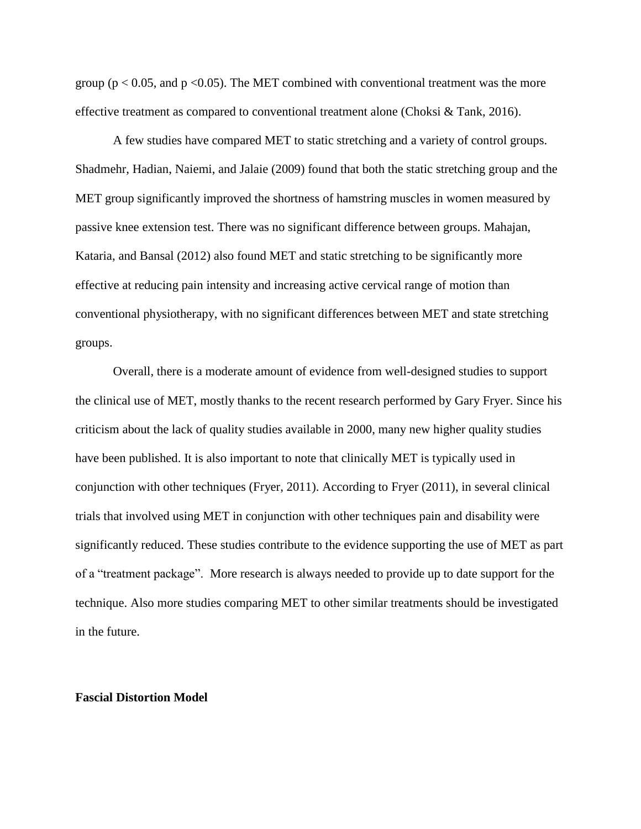group ( $p < 0.05$ , and  $p < 0.05$ ). The MET combined with conventional treatment was the more effective treatment as compared to conventional treatment alone (Choksi & Tank, 2016).

A few studies have compared MET to static stretching and a variety of control groups. Shadmehr, Hadian, Naiemi, and Jalaie (2009) found that both the static stretching group and the MET group significantly improved the shortness of hamstring muscles in women measured by passive knee extension test. There was no significant difference between groups. Mahajan, Kataria, and Bansal (2012) also found MET and static stretching to be significantly more effective at reducing pain intensity and increasing active cervical range of motion than conventional physiotherapy, with no significant differences between MET and state stretching groups.

Overall, there is a moderate amount of evidence from well-designed studies to support the clinical use of MET, mostly thanks to the recent research performed by Gary Fryer. Since his criticism about the lack of quality studies available in 2000, many new higher quality studies have been published. It is also important to note that clinically MET is typically used in conjunction with other techniques (Fryer, 2011). According to Fryer (2011), in several clinical trials that involved using MET in conjunction with other techniques pain and disability were significantly reduced. These studies contribute to the evidence supporting the use of MET as part of a "treatment package". More research is always needed to provide up to date support for the technique. Also more studies comparing MET to other similar treatments should be investigated in the future.

#### **Fascial Distortion Model**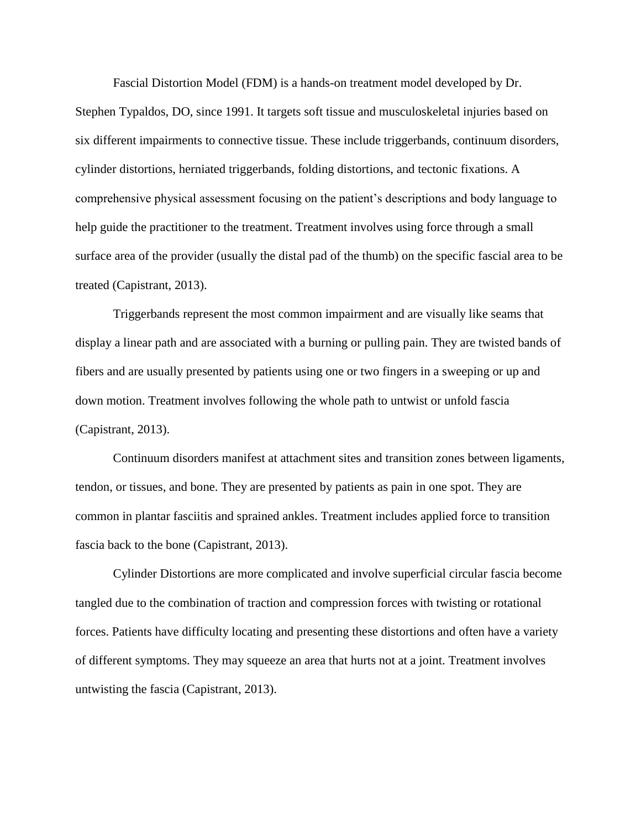Fascial Distortion Model (FDM) is a hands-on treatment model developed by Dr.

Stephen Typaldos, DO, since 1991. It targets soft tissue and musculoskeletal injuries based on six different impairments to connective tissue. These include triggerbands, continuum disorders, cylinder distortions, herniated triggerbands, folding distortions, and tectonic fixations. A comprehensive physical assessment focusing on the patient's descriptions and body language to help guide the practitioner to the treatment. Treatment involves using force through a small surface area of the provider (usually the distal pad of the thumb) on the specific fascial area to be treated (Capistrant, 2013).

Triggerbands represent the most common impairment and are visually like seams that display a linear path and are associated with a burning or pulling pain. They are twisted bands of fibers and are usually presented by patients using one or two fingers in a sweeping or up and down motion. Treatment involves following the whole path to untwist or unfold fascia (Capistrant, 2013).

Continuum disorders manifest at attachment sites and transition zones between ligaments, tendon, or tissues, and bone. They are presented by patients as pain in one spot. They are common in plantar fasciitis and sprained ankles. Treatment includes applied force to transition fascia back to the bone (Capistrant, 2013).

Cylinder Distortions are more complicated and involve superficial circular fascia become tangled due to the combination of traction and compression forces with twisting or rotational forces. Patients have difficulty locating and presenting these distortions and often have a variety of different symptoms. They may squeeze an area that hurts not at a joint. Treatment involves untwisting the fascia (Capistrant, 2013).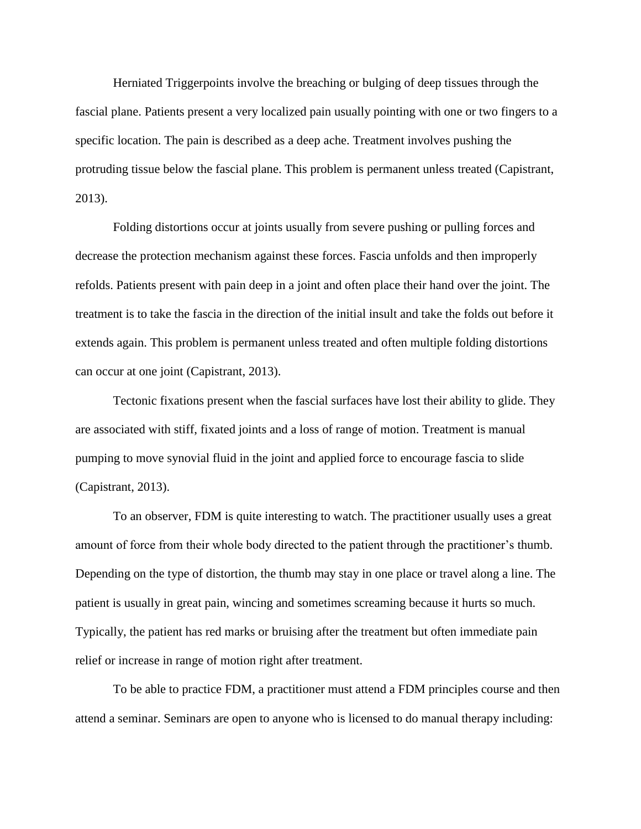Herniated Triggerpoints involve the breaching or bulging of deep tissues through the fascial plane. Patients present a very localized pain usually pointing with one or two fingers to a specific location. The pain is described as a deep ache. Treatment involves pushing the protruding tissue below the fascial plane. This problem is permanent unless treated (Capistrant, 2013).

Folding distortions occur at joints usually from severe pushing or pulling forces and decrease the protection mechanism against these forces. Fascia unfolds and then improperly refolds. Patients present with pain deep in a joint and often place their hand over the joint. The treatment is to take the fascia in the direction of the initial insult and take the folds out before it extends again. This problem is permanent unless treated and often multiple folding distortions can occur at one joint (Capistrant, 2013).

Tectonic fixations present when the fascial surfaces have lost their ability to glide. They are associated with stiff, fixated joints and a loss of range of motion. Treatment is manual pumping to move synovial fluid in the joint and applied force to encourage fascia to slide (Capistrant, 2013).

To an observer, FDM is quite interesting to watch. The practitioner usually uses a great amount of force from their whole body directed to the patient through the practitioner's thumb. Depending on the type of distortion, the thumb may stay in one place or travel along a line. The patient is usually in great pain, wincing and sometimes screaming because it hurts so much. Typically, the patient has red marks or bruising after the treatment but often immediate pain relief or increase in range of motion right after treatment.

To be able to practice FDM, a practitioner must attend a FDM principles course and then attend a seminar. Seminars are open to anyone who is licensed to do manual therapy including: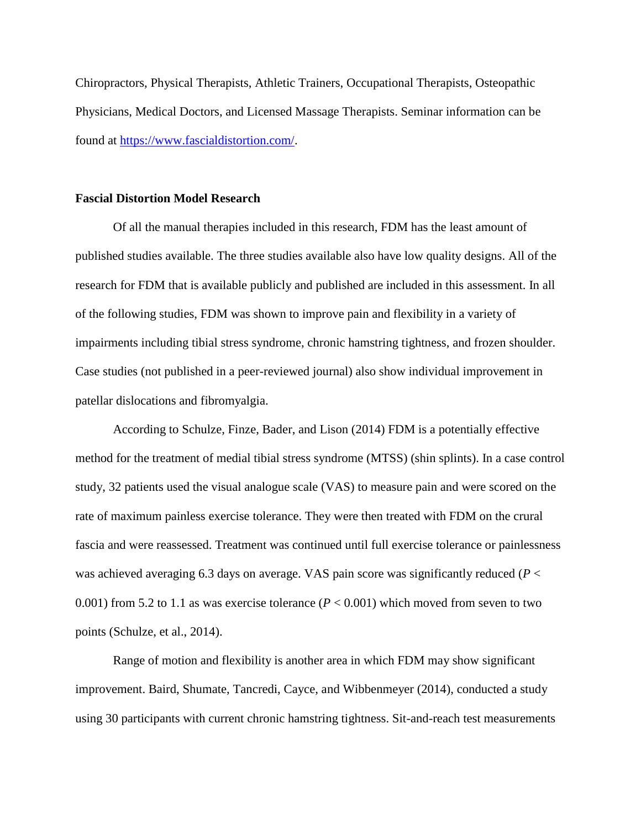Chiropractors, Physical Therapists, Athletic Trainers, Occupational Therapists, Osteopathic Physicians, Medical Doctors, and Licensed Massage Therapists. Seminar information can be found at [https://www.fascialdistortion.com/.](https://www.fascialdistortion.com/)

#### **Fascial Distortion Model Research**

Of all the manual therapies included in this research, FDM has the least amount of published studies available. The three studies available also have low quality designs. All of the research for FDM that is available publicly and published are included in this assessment. In all of the following studies, FDM was shown to improve pain and flexibility in a variety of impairments including tibial stress syndrome, chronic hamstring tightness, and frozen shoulder. Case studies (not published in a peer-reviewed journal) also show individual improvement in patellar dislocations and fibromyalgia.

According to Schulze, Finze, Bader, and Lison (2014) FDM is a potentially effective method for the treatment of medial tibial stress syndrome (MTSS) (shin splints). In a case control study, 32 patients used the visual analogue scale (VAS) to measure pain and were scored on the rate of maximum painless exercise tolerance. They were then treated with FDM on the crural fascia and were reassessed. Treatment was continued until full exercise tolerance or painlessness was achieved averaging 6.3 days on average. VAS pain score was significantly reduced (*P* < 0.001) from 5.2 to 1.1 as was exercise tolerance  $(P < 0.001)$  which moved from seven to two points (Schulze, et al., 2014).

Range of motion and flexibility is another area in which FDM may show significant improvement. Baird, Shumate, Tancredi, Cayce, and Wibbenmeyer (2014), conducted a study using 30 participants with current chronic hamstring tightness. Sit-and-reach test measurements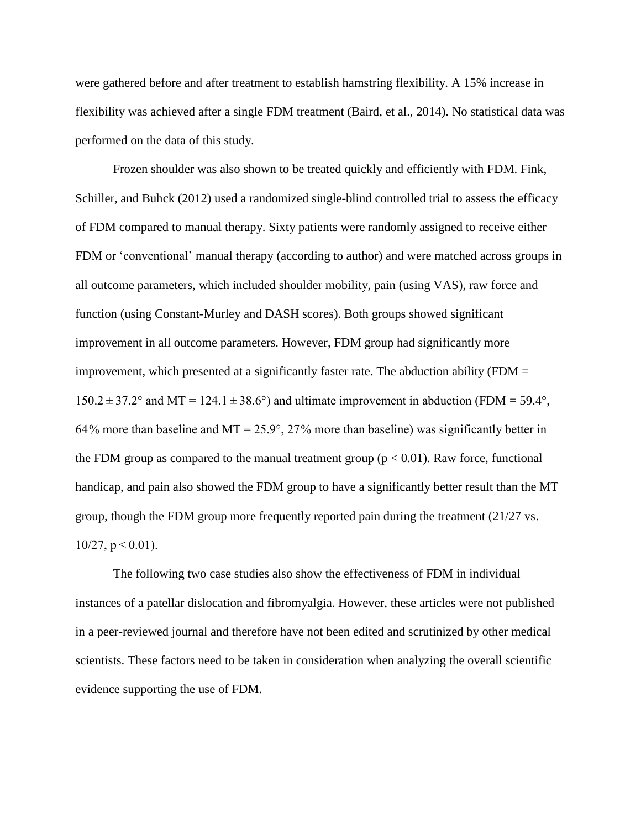were gathered before and after treatment to establish hamstring flexibility. A 15% increase in flexibility was achieved after a single FDM treatment (Baird, et al., 2014). No statistical data was performed on the data of this study.

Frozen shoulder was also shown to be treated quickly and efficiently with FDM. Fink, Schiller, and Buhck (2012) used a randomized single-blind controlled trial to assess the efficacy of FDM compared to manual therapy. Sixty patients were randomly assigned to receive either FDM or 'conventional' manual therapy (according to author) and were matched across groups in all outcome parameters, which included shoulder mobility, pain (using VAS), raw force and function (using Constant-Murley and DASH scores). Both groups showed significant improvement in all outcome parameters. However, FDM group had significantly more improvement, which presented at a significantly faster rate. The abduction ability (FDM  $=$  $150.2 \pm 37.2^{\circ}$  and MT = 124.1  $\pm$  38.6°) and ultimate improvement in abduction (FDM = 59.4°, 64% more than baseline and MT =  $25.9^{\circ}$ , 27% more than baseline) was significantly better in the FDM group as compared to the manual treatment group  $(p < 0.01)$ . Raw force, functional handicap, and pain also showed the FDM group to have a significantly better result than the MT group, though the FDM group more frequently reported pain during the treatment (21/27 vs.  $10/27$ ,  $p < 0.01$ ).

The following two case studies also show the effectiveness of FDM in individual instances of a patellar dislocation and fibromyalgia. However, these articles were not published in a peer-reviewed journal and therefore have not been edited and scrutinized by other medical scientists. These factors need to be taken in consideration when analyzing the overall scientific evidence supporting the use of FDM.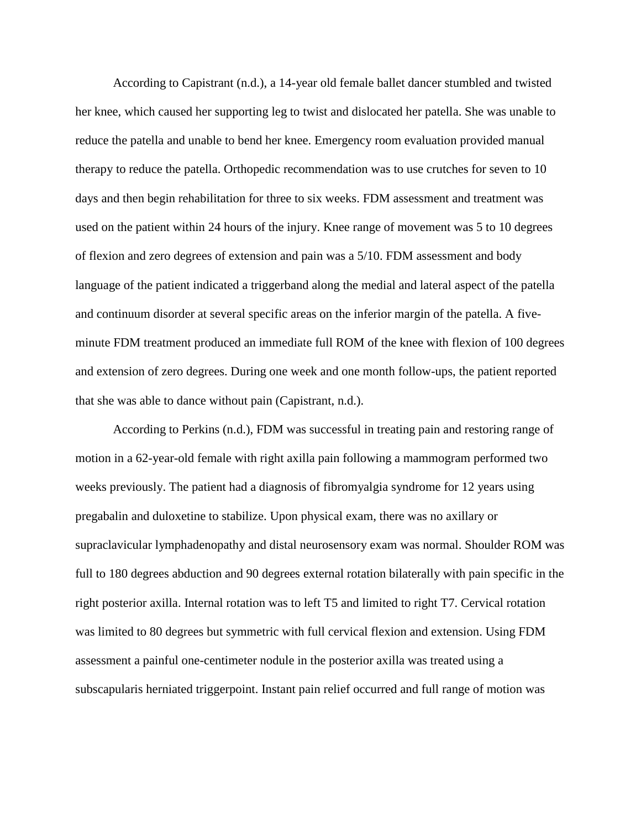According to Capistrant (n.d.), a 14-year old female ballet dancer stumbled and twisted her knee, which caused her supporting leg to twist and dislocated her patella. She was unable to reduce the patella and unable to bend her knee. Emergency room evaluation provided manual therapy to reduce the patella. Orthopedic recommendation was to use crutches for seven to 10 days and then begin rehabilitation for three to six weeks. FDM assessment and treatment was used on the patient within 24 hours of the injury. Knee range of movement was 5 to 10 degrees of flexion and zero degrees of extension and pain was a 5/10. FDM assessment and body language of the patient indicated a triggerband along the medial and lateral aspect of the patella and continuum disorder at several specific areas on the inferior margin of the patella. A fiveminute FDM treatment produced an immediate full ROM of the knee with flexion of 100 degrees and extension of zero degrees. During one week and one month follow-ups, the patient reported that she was able to dance without pain (Capistrant, n.d.).

According to Perkins (n.d.), FDM was successful in treating pain and restoring range of motion in a 62-year-old female with right axilla pain following a mammogram performed two weeks previously. The patient had a diagnosis of fibromyalgia syndrome for 12 years using pregabalin and duloxetine to stabilize. Upon physical exam, there was no axillary or supraclavicular lymphadenopathy and distal neurosensory exam was normal. Shoulder ROM was full to 180 degrees abduction and 90 degrees external rotation bilaterally with pain specific in the right posterior axilla. Internal rotation was to left T5 and limited to right T7. Cervical rotation was limited to 80 degrees but symmetric with full cervical flexion and extension. Using FDM assessment a painful one-centimeter nodule in the posterior axilla was treated using a subscapularis herniated triggerpoint. Instant pain relief occurred and full range of motion was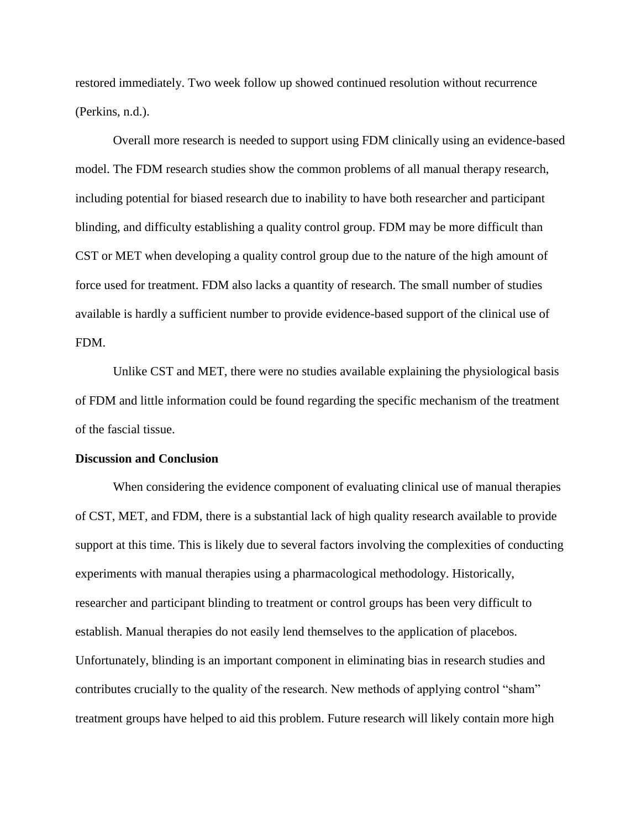restored immediately. Two week follow up showed continued resolution without recurrence (Perkins, n.d.).

Overall more research is needed to support using FDM clinically using an evidence-based model. The FDM research studies show the common problems of all manual therapy research, including potential for biased research due to inability to have both researcher and participant blinding, and difficulty establishing a quality control group. FDM may be more difficult than CST or MET when developing a quality control group due to the nature of the high amount of force used for treatment. FDM also lacks a quantity of research. The small number of studies available is hardly a sufficient number to provide evidence-based support of the clinical use of FDM.

Unlike CST and MET, there were no studies available explaining the physiological basis of FDM and little information could be found regarding the specific mechanism of the treatment of the fascial tissue.

#### **Discussion and Conclusion**

When considering the evidence component of evaluating clinical use of manual therapies of CST, MET, and FDM, there is a substantial lack of high quality research available to provide support at this time. This is likely due to several factors involving the complexities of conducting experiments with manual therapies using a pharmacological methodology. Historically, researcher and participant blinding to treatment or control groups has been very difficult to establish. Manual therapies do not easily lend themselves to the application of placebos. Unfortunately, blinding is an important component in eliminating bias in research studies and contributes crucially to the quality of the research. New methods of applying control "sham" treatment groups have helped to aid this problem. Future research will likely contain more high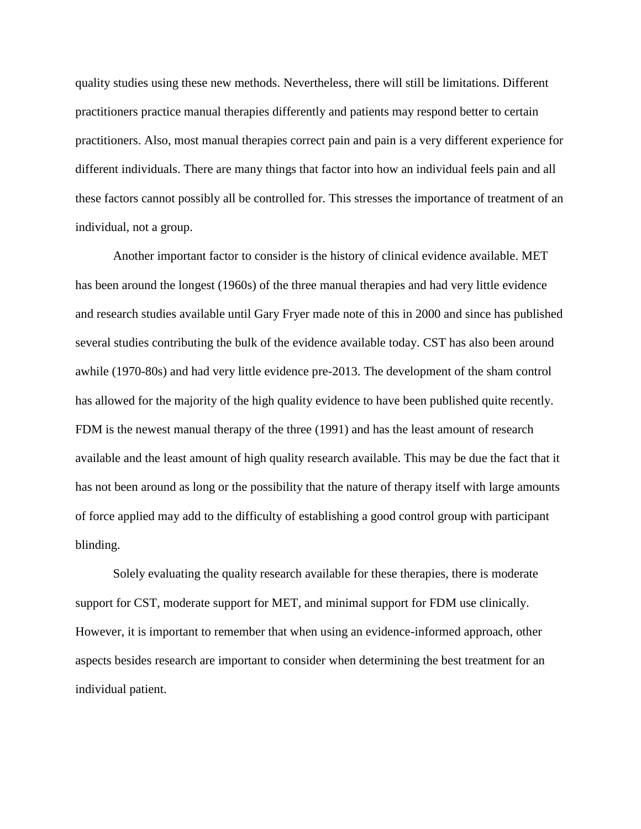quality studies using these new methods. Nevertheless, there will still be limitations. Different practitioners practice manual therapies differently and patients may respond better to certain practitioners. Also, most manual therapies correct pain and pain is a very different experience for different individuals. There are many things that factor into how an individual feels pain and all these factors cannot possibly all be controlled for. This stresses the importance of treatment of an individual, not a group.

Another important factor to consider is the history of clinical evidence available. MET has been around the longest (1960s) of the three manual therapies and had very little evidence and research studies available until Gary Fryer made note of this in 2000 and since has published several studies contributing the bulk of the evidence available today. CST has also been around awhile (1970-80s) and had very little evidence pre-2013. The development of the sham control has allowed for the majority of the high quality evidence to have been published quite recently. FDM is the newest manual therapy of the three (1991) and has the least amount of research available and the least amount of high quality research available. This may be due the fact that it has not been around as long or the possibility that the nature of therapy itself with large amounts of force applied may add to the difficulty of establishing a good control group with participant blinding.

Solely evaluating the quality research available for these therapies, there is moderate support for CST, moderate support for MET, and minimal support for FDM use clinically. However, it is important to remember that when using an evidence-informed approach, other aspects besides research are important to consider when determining the best treatment for an individual patient.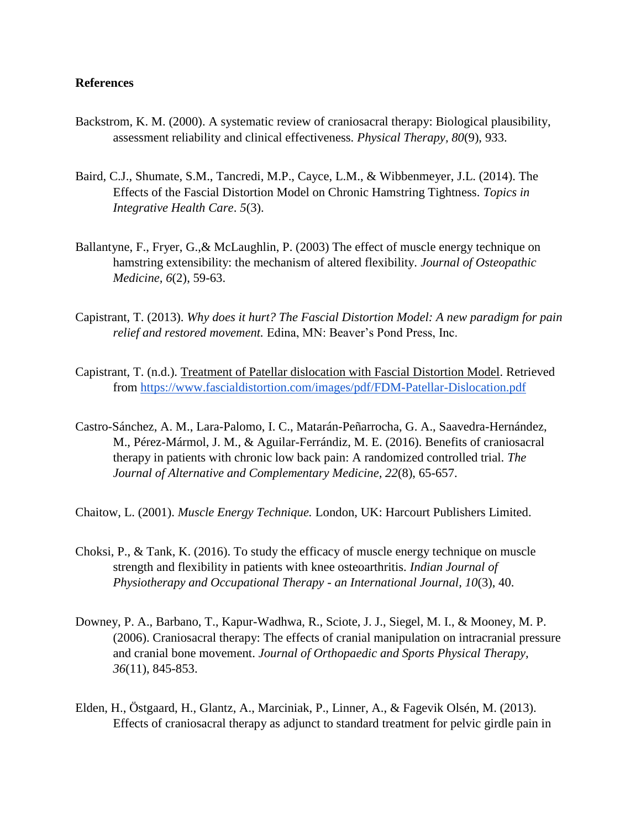### **References**

- Backstrom, K. M. (2000). A systematic review of craniosacral therapy: Biological plausibility, assessment reliability and clinical effectiveness. *Physical Therapy, 80*(9), 933.
- Baird, C.J., Shumate, S.M., Tancredi, M.P., Cayce, L.M., & Wibbenmeyer, J.L. (2014). The Effects of the Fascial Distortion Model on Chronic Hamstring Tightness. *Topics in Integrative Health Care*. *5*(3).
- Ballantyne, F., Fryer, G.,& McLaughlin, P. (2003) The effect of muscle energy technique on hamstring extensibility: the mechanism of altered flexibility. *Journal of Osteopathic Medicine, 6*(2), 59-63.
- Capistrant, T. (2013). *Why does it hurt? The Fascial Distortion Model: A new paradigm for pain relief and restored movement.* Edina, MN: Beaver's Pond Press, Inc.
- Capistrant, T. (n.d.). [Treatment of Patellar dislocation with Fascial Distortion Model.](https://www.fascialdistortion.com/treatment-of-patellar-dislocation-with-fascial-distortion-model/) Retrieved from<https://www.fascialdistortion.com/images/pdf/FDM-Patellar-Dislocation.pdf>
- Castro-Sánchez, A. M., Lara-Palomo, I. C., Matarán-Peñarrocha, G. A., Saavedra-Hernández, M., Pérez-Mármol, J. M., & Aguilar-Ferrándiz, M. E. (2016). Benefits of craniosacral therapy in patients with chronic low back pain: A randomized controlled trial. *The Journal of Alternative and Complementary Medicine, 22*(8), 65-657.

Chaitow, L. (2001). *Muscle Energy Technique.* London, UK: Harcourt Publishers Limited.

- Choksi, P., & Tank, K. (2016). To study the efficacy of muscle energy technique on muscle strength and flexibility in patients with knee osteoarthritis. *Indian Journal of Physiotherapy and Occupational Therapy - an International Journal, 10*(3), 40.
- Downey, P. A., Barbano, T., Kapur-Wadhwa, R., Sciote, J. J., Siegel, M. I., & Mooney, M. P. (2006). Craniosacral therapy: The effects of cranial manipulation on intracranial pressure and cranial bone movement. *Journal of Orthopaedic and Sports Physical Therapy, 36*(11), 845-853.
- Elden, H., Östgaard, H., Glantz, A., Marciniak, P., Linner, A., & Fagevik Olsén, M. (2013). Effects of craniosacral therapy as adjunct to standard treatment for pelvic girdle pain in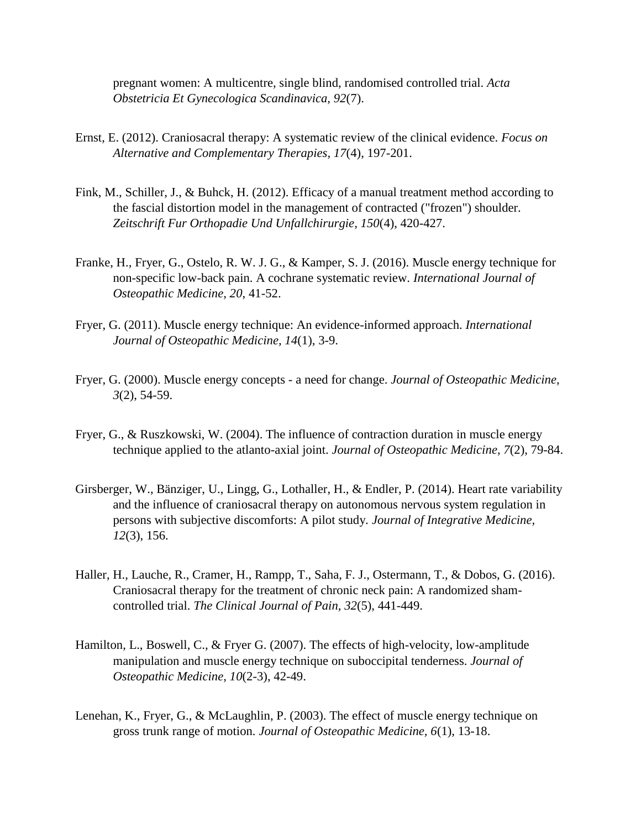pregnant women: A multicentre, single blind, randomised controlled trial. *Acta Obstetricia Et Gynecologica Scandinavica, 92*(7).

- Ernst, E. (2012). Craniosacral therapy: A systematic review of the clinical evidence. *Focus on Alternative and Complementary Therapies, 17*(4), 197-201.
- Fink, M., Schiller, J., & Buhck, H. (2012). Efficacy of a manual treatment method according to the fascial distortion model in the management of contracted ("frozen") shoulder. *Zeitschrift Fur Orthopadie Und Unfallchirurgie, 150*(4), 420-427.
- Franke, H., Fryer, G., Ostelo, R. W. J. G., & Kamper, S. J. (2016). Muscle energy technique for non-specific low-back pain. A cochrane systematic review. *International Journal of Osteopathic Medicine, 20*, 41-52.
- Fryer, G. (2011). Muscle energy technique: An evidence-informed approach. *International Journal of Osteopathic Medicine, 14*(1), 3-9.
- Fryer, G. (2000). Muscle energy concepts a need for change. *Journal of Osteopathic Medicine, 3*(2), 54-59.
- Fryer, G., & Ruszkowski, W. (2004). The influence of contraction duration in muscle energy technique applied to the atlanto-axial joint. *Journal of Osteopathic Medicine, 7*(2), 79-84.
- Girsberger, W., Bänziger, U., Lingg, G., Lothaller, H., & Endler, P. (2014). Heart rate variability and the influence of craniosacral therapy on autonomous nervous system regulation in persons with subjective discomforts: A pilot study. *Journal of Integrative Medicine, 12*(3), 156.
- Haller, H., Lauche, R., Cramer, H., Rampp, T., Saha, F. J., Ostermann, T., & Dobos, G. (2016). Craniosacral therapy for the treatment of chronic neck pain: A randomized shamcontrolled trial. *The Clinical Journal of Pain, 32*(5), 441-449.
- Hamilton, L., Boswell, C., & Fryer G. (2007). The effects of high-velocity, low-amplitude manipulation and muscle energy technique on suboccipital tenderness. *Journal of Osteopathic Medicine, 10*(2-3), 42-49.
- Lenehan, K., Fryer, G., & McLaughlin, P. (2003). The effect of muscle energy technique on gross trunk range of motion. *Journal of Osteopathic Medicine, 6*(1), 13-18.